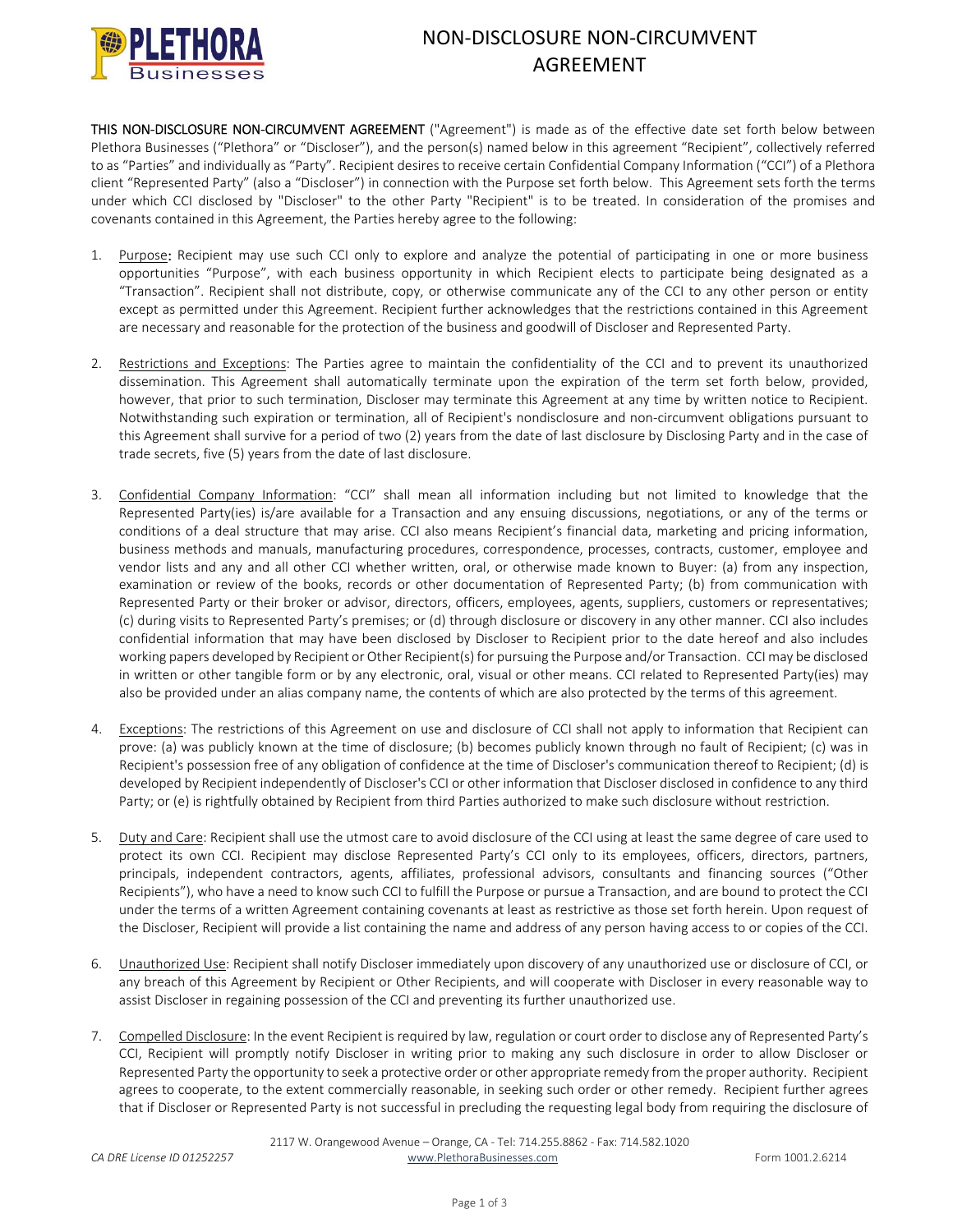

## NON‐DISCLOSURE NON‐CIRCUMVENT AGREEMENT

THIS NON-DISCLOSURE NON-CIRCUMVENT AGREEMENT ("Agreement") is made as of the effective date set forth below between Plethora Businesses ("Plethora" or "Discloser"), and the person(s) named below in this agreement "Recipient", collectively referred to as "Parties" and individually as "Party". Recipient desires to receive certain Confidential Company Information ("CCI") of a Plethora client "Represented Party" (also a "Discloser") in connection with the Purpose set forth below. This Agreement sets forth the terms under which CCI disclosed by "Discloser" to the other Party "Recipient" is to be treated. In consideration of the promises and covenants contained in this Agreement, the Parties hereby agree to the following:

- 1. Purpose: Recipient may use such CCI only to explore and analyze the potential of participating in one or more business opportunities "Purpose", with each business opportunity in which Recipient elects to participate being designated as a "Transaction". Recipient shall not distribute, copy, or otherwise communicate any of the CCI to any other person or entity except as permitted under this Agreement. Recipient further acknowledges that the restrictions contained in this Agreement are necessary and reasonable for the protection of the business and goodwill of Discloser and Represented Party.
- 2. Restrictions and Exceptions: The Parties agree to maintain the confidentiality of the CCI and to prevent its unauthorized dissemination. This Agreement shall automatically terminate upon the expiration of the term set forth below, provided, however, that prior to such termination, Discloser may terminate this Agreement at any time by written notice to Recipient. Notwithstanding such expiration or termination, all of Recipient's nondisclosure and non‐circumvent obligations pursuant to this Agreement shall survive for a period of two (2) years from the date of last disclosure by Disclosing Party and in the case of trade secrets, five (5) years from the date of last disclosure.
- 3. Confidential Company Information: "CCI" shall mean all information including but not limited to knowledge that the Represented Party(ies) is/are available for a Transaction and any ensuing discussions, negotiations, or any of the terms or conditions of a deal structure that may arise. CCI also means Recipient's financial data, marketing and pricing information, business methods and manuals, manufacturing procedures, correspondence, processes, contracts, customer, employee and vendor lists and any and all other CCI whether written, oral, or otherwise made known to Buyer: (a) from any inspection, examination or review of the books, records or other documentation of Represented Party; (b) from communication with Represented Party or their broker or advisor, directors, officers, employees, agents, suppliers, customers or representatives; (c) during visits to Represented Party's premises; or (d) through disclosure or discovery in any other manner. CCI also includes confidential information that may have been disclosed by Discloser to Recipient prior to the date hereof and also includes working papers developed by Recipient or Other Recipient(s) for pursuing the Purpose and/or Transaction. CCI may be disclosed in written or other tangible form or by any electronic, oral, visual or other means. CCI related to Represented Party(ies) may also be provided under an alias company name, the contents of which are also protected by the terms of this agreement.
- 4. Exceptions: The restrictions of this Agreement on use and disclosure of CCI shall not apply to information that Recipient can prove: (a) was publicly known at the time of disclosure; (b) becomes publicly known through no fault of Recipient; (c) was in Recipient's possession free of any obligation of confidence at the time of Discloser's communication thereof to Recipient; (d) is developed by Recipient independently of Discloser's CCI or other information that Discloser disclosed in confidence to any third Party; or (e) is rightfully obtained by Recipient from third Parties authorized to make such disclosure without restriction.
- 5. Duty and Care: Recipient shall use the utmost care to avoid disclosure of the CCI using at least the same degree of care used to protect its own CCI. Recipient may disclose Represented Party's CCI only to its employees, officers, directors, partners, principals, independent contractors, agents, affiliates, professional advisors, consultants and financing sources ("Other Recipients"), who have a need to know such CCI to fulfill the Purpose or pursue a Transaction, and are bound to protect the CCI under the terms of a written Agreement containing covenants at least as restrictive as those set forth herein. Upon request of the Discloser, Recipient will provide a list containing the name and address of any person having access to or copies of the CCI.
- 6. Unauthorized Use: Recipient shall notify Discloser immediately upon discovery of any unauthorized use or disclosure of CCI, or any breach of this Agreement by Recipient or Other Recipients, and will cooperate with Discloser in every reasonable way to assist Discloser in regaining possession of the CCI and preventing its further unauthorized use.
- 7. Compelled Disclosure: In the event Recipient is required by law, regulation or court order to disclose any of Represented Party's CCI, Recipient will promptly notify Discloser in writing prior to making any such disclosure in order to allow Discloser or Represented Party the opportunity to seek a protective order or other appropriate remedy from the proper authority. Recipient agrees to cooperate, to the extent commercially reasonable, in seeking such order or other remedy. Recipient further agrees that if Discloser or Represented Party is not successful in precluding the requesting legal body from requiring the disclosure of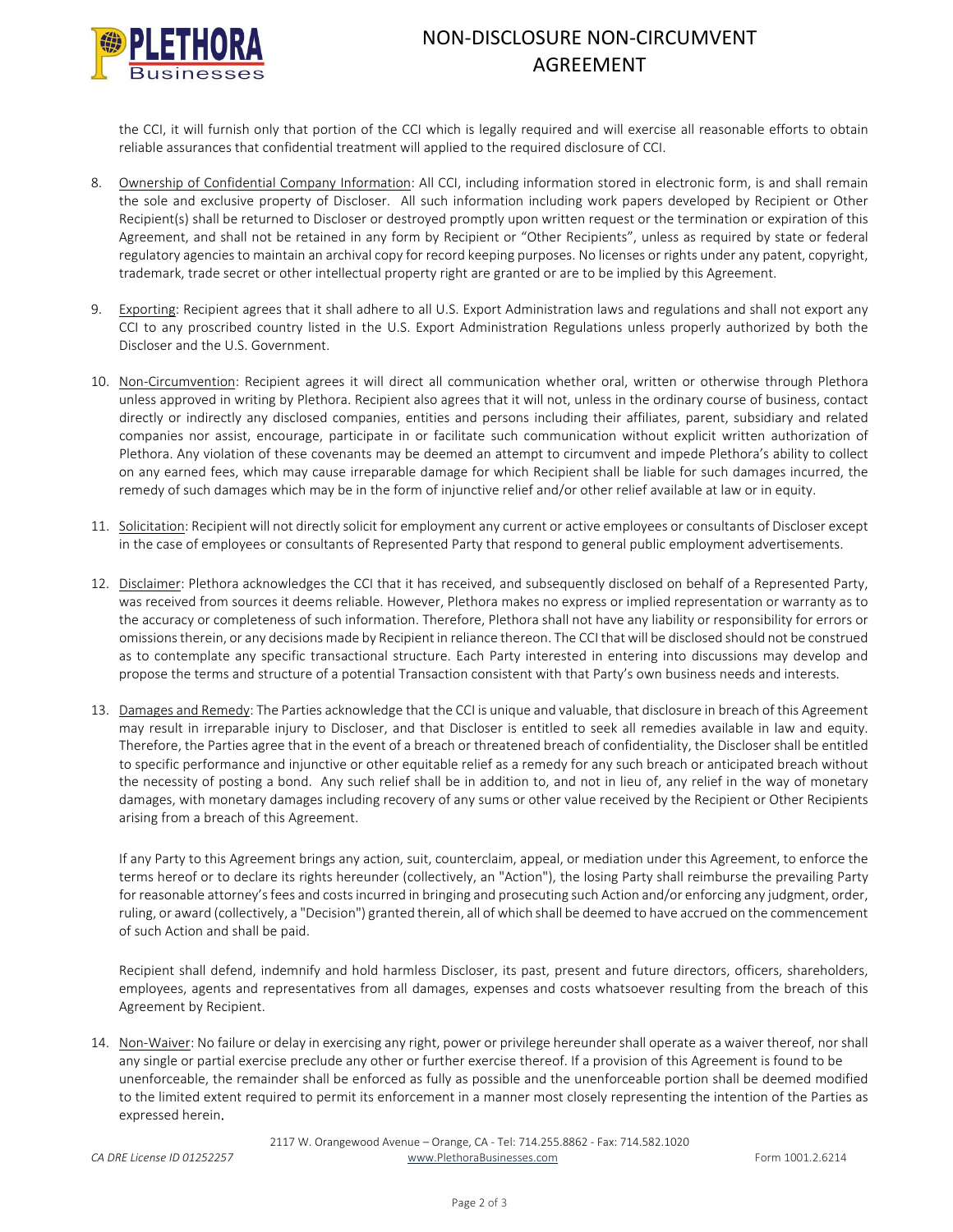

## NON‐DISCLOSURE NON‐CIRCUMVENT AGREEMENT

the CCI, it will furnish only that portion of the CCI which is legally required and will exercise all reasonable efforts to obtain reliable assurances that confidential treatment will applied to the required disclosure of CCI.

- 8. Ownership of Confidential Company Information: All CCI, including information stored in electronic form, is and shall remain the sole and exclusive property of Discloser. All such information including work papers developed by Recipient or Other Recipient(s) shall be returned to Discloser or destroyed promptly upon written request or the termination or expiration of this Agreement, and shall not be retained in any form by Recipient or "Other Recipients", unless as required by state or federal regulatory agencies to maintain an archival copy for record keeping purposes. No licenses or rights under any patent, copyright, trademark, trade secret or other intellectual property right are granted or are to be implied by this Agreement.
- 9. Exporting: Recipient agrees that it shall adhere to all U.S. Export Administration laws and regulations and shall not export any CCI to any proscribed country listed in the U.S. Export Administration Regulations unless properly authorized by both the Discloser and the U.S. Government.
- 10. Non‐Circumvention: Recipient agrees it will direct all communication whether oral, written or otherwise through Plethora unless approved in writing by Plethora. Recipient also agrees that it will not, unless in the ordinary course of business, contact directly or indirectly any disclosed companies, entities and persons including their affiliates, parent, subsidiary and related companies nor assist, encourage, participate in or facilitate such communication without explicit written authorization of Plethora. Any violation of these covenants may be deemed an attempt to circumvent and impede Plethora's ability to collect on any earned fees, which may cause irreparable damage for which Recipient shall be liable for such damages incurred, the remedy of such damages which may be in the form of injunctive relief and/or other relief available at law or in equity.
- 11. Solicitation: Recipient will not directly solicit for employment any current or active employees or consultants of Discloser except in the case of employees or consultants of Represented Party that respond to general public employment advertisements.
- 12. Disclaimer: Plethora acknowledges the CCI that it has received, and subsequently disclosed on behalf of a Represented Party, was received from sources it deems reliable. However, Plethora makes no express or implied representation or warranty as to the accuracy or completeness of such information. Therefore, Plethora shall not have any liability or responsibility for errors or omissionstherein, or any decisions made by Recipient in reliance thereon. The CCI that will be disclosed should not be construed as to contemplate any specific transactional structure. Each Party interested in entering into discussions may develop and propose the terms and structure of a potential Transaction consistent with that Party's own business needs and interests.
- 13. Damages and Remedy: The Parties acknowledge that the CCI is unique and valuable, that disclosure in breach of this Agreement may result in irreparable injury to Discloser, and that Discloser is entitled to seek all remedies available in law and equity. Therefore, the Parties agree that in the event of a breach or threatened breach of confidentiality, the Discloser shall be entitled to specific performance and injunctive or other equitable relief as a remedy for any such breach or anticipated breach without the necessity of posting a bond. Any such relief shall be in addition to, and not in lieu of, any relief in the way of monetary damages, with monetary damages including recovery of any sums or other value received by the Recipient or Other Recipients arising from a breach of this Agreement.

If any Party to this Agreement brings any action, suit, counterclaim, appeal, or mediation under this Agreement, to enforce the terms hereof or to declare its rights hereunder (collectively, an "Action"), the losing Party shall reimburse the prevailing Party for reasonable attorney's fees and costs incurred in bringing and prosecuting such Action and/or enforcing any judgment, order, ruling, or award (collectively, a "Decision") granted therein, all of which shall be deemed to have accrued on the commencement of such Action and shall be paid.

Recipient shall defend, indemnify and hold harmless Discloser, its past, present and future directors, officers, shareholders, employees, agents and representatives from all damages, expenses and costs whatsoever resulting from the breach of this Agreement by Recipient.

14. Non-Waiver: No failure or delay in exercising any right, power or privilege hereunder shall operate as a waiver thereof, nor shall any single or partial exercise preclude any other or further exercise thereof. If a provision of this Agreement is found to be unenforceable, the remainder shall be enforced as fully as possible and the unenforceable portion shall be deemed modified to the limited extent required to permit its enforcement in a manner most closely representing the intention of the Parties as expressed herein.

2117 W. Orangewood Avenue – Orange, CA ‐ Tel: 714.255.8862 ‐ Fax: 714.582.1020 *CA DRE License ID 01252257* www.PlethoraBusinesses.com Form 1001.2.6214